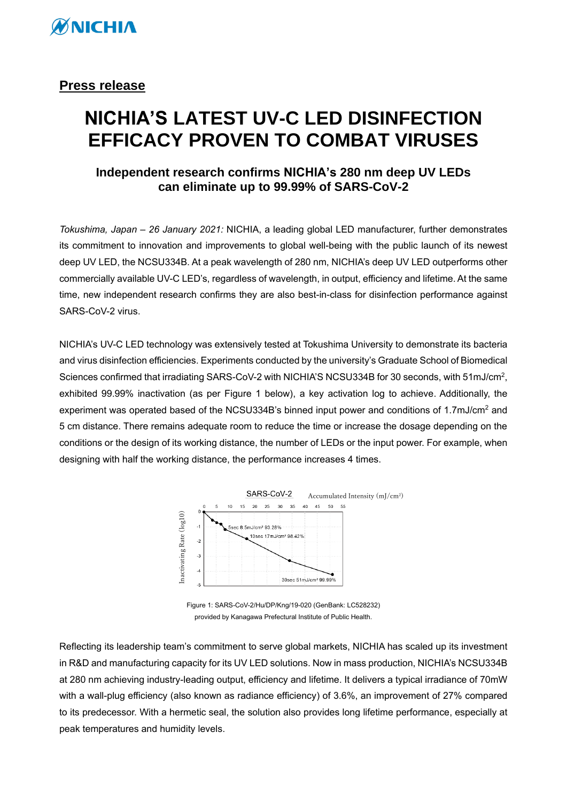

## **Press release**

## **NICHIA'S LATEST UV-C LED DISINFECTION EFFICACY PROVEN TO COMBAT VIRUSES**

## **Independent research confirms NICHIA's 280 nm deep UV LEDs can eliminate up to 99.99% of SARS-CoV-2**

*Tokushima, Japan – 26 January 2021:* NICHIA, a leading global LED manufacturer, further demonstrates its commitment to innovation and improvements to global well-being with the public launch of its newest deep UV LED, the NCSU334B. At a peak wavelength of 280 nm, NICHIA's deep UV LED outperforms other commercially available UV-C LED's, regardless of wavelength, in output, efficiency and lifetime. At the same time, new independent research confirms they are also best-in-class for disinfection performance against SARS-CoV-2 virus.

NICHIA's UV-C LED technology was extensively tested at Tokushima University to demonstrate its bacteria and virus disinfection efficiencies. Experiments conducted by the university's Graduate School of Biomedical Sciences confirmed that irradiating SARS-CoV-2 with NICHIA'S NCSU334B for 30 seconds, with 51mJ/cm<sup>2</sup>, exhibited 99.99% inactivation (as per Figure 1 below), a key activation log to achieve. Additionally, the experiment was operated based of the NCSU334B's binned input power and conditions of 1.7mJ/cm<sup>2</sup> and 5 cm distance. There remains adequate room to reduce the time or increase the dosage depending on the conditions or the design of its working distance, the number of LEDs or the input power. For example, when designing with half the working distance, the performance increases 4 times.



Figure 1: SARS-CoV-2/Hu/DP/Kng/19-020 (GenBank: LC528232) provided by Kanagawa Prefectural Institute of Public Health.

Reflecting its leadership team's commitment to serve global markets, NICHIA has scaled up its investment in R&D and manufacturing capacity for its UV LED solutions. Now in mass production, NICHIA's NCSU334B at 280 nm achieving industry-leading output, efficiency and lifetime. It delivers a typical irradiance of 70mW with a wall-plug efficiency (also known as radiance efficiency) of 3.6%, an improvement of 27% compared to its predecessor. With a hermetic seal, the solution also provides long lifetime performance, especially at peak temperatures and humidity levels.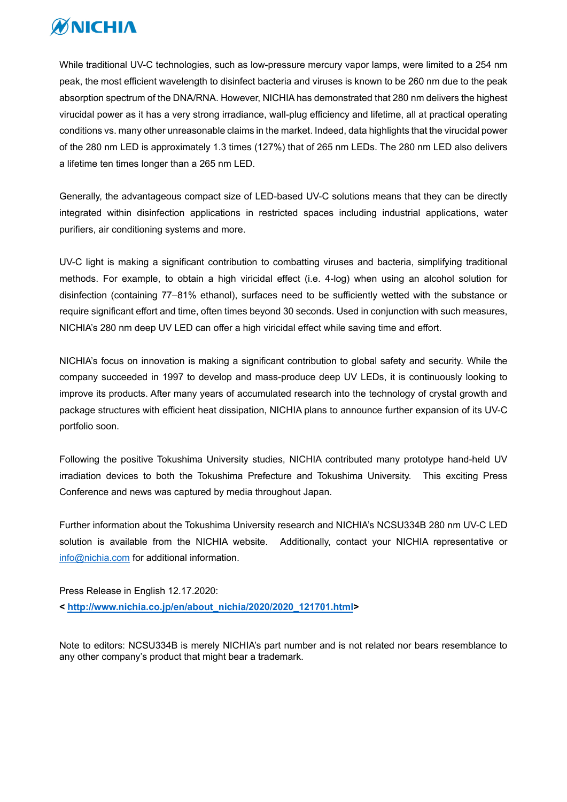

While traditional UV-C technologies, such as low-pressure mercury vapor lamps, were limited to a 254 nm peak, the most efficient wavelength to disinfect bacteria and viruses is known to be 260 nm due to the peak absorption spectrum of the DNA/RNA. However, NICHIA has demonstrated that 280 nm delivers the highest virucidal power as it has a very strong irradiance, wall-plug efficiency and lifetime, all at practical operating conditions vs. many other unreasonable claims in the market. Indeed, data highlights that the virucidal power of the 280 nm LED is approximately 1.3 times (127%) that of 265 nm LEDs. The 280 nm LED also delivers a lifetime ten times longer than a 265 nm LED.

Generally, the advantageous compact size of LED-based UV-C solutions means that they can be directly integrated within disinfection applications in restricted spaces including industrial applications, water purifiers, air conditioning systems and more.

UV-C light is making a significant contribution to combatting viruses and bacteria, simplifying traditional methods. For example, to obtain a high viricidal effect (i.e. 4-log) when using an alcohol solution for disinfection (containing 77–81% ethanol), surfaces need to be sufficiently wetted with the substance or require significant effort and time, often times beyond 30 seconds. Used in conjunction with such measures, NICHIA's 280 nm deep UV LED can offer a high viricidal effect while saving time and effort.

NICHIA's focus on innovation is making a significant contribution to global safety and security. While the company succeeded in 1997 to develop and mass-produce deep UV LEDs, it is continuously looking to improve its products. After many years of accumulated research into the technology of crystal growth and package structures with efficient heat dissipation, NICHIA plans to announce further expansion of its UV-C portfolio soon.

Following the positive Tokushima University studies, NICHIA contributed many prototype hand-held UV irradiation devices to both the Tokushima Prefecture and Tokushima University. This exciting Press Conference and news was captured by media throughout Japan.

Further information about the Tokushima University research and NICHIA's NCSU334B 280 nm UV-C LED solution is available from the NICHIA website. Additionally, contact your NICHIA representative or [info@nichia.com](mailto:info@nichia.com) for additional information.

Press Release in English 12.17.2020: **< [http://www.nichia.co.jp/en/about\\_nichia/2020/2020\\_121701.html>](http://www.nichia.co.jp/en/about_nichia/2020/2020_121701.html)**

Note to editors: NCSU334B is merely NICHIA's part number and is not related nor bears resemblance to any other company's product that might bear a trademark.